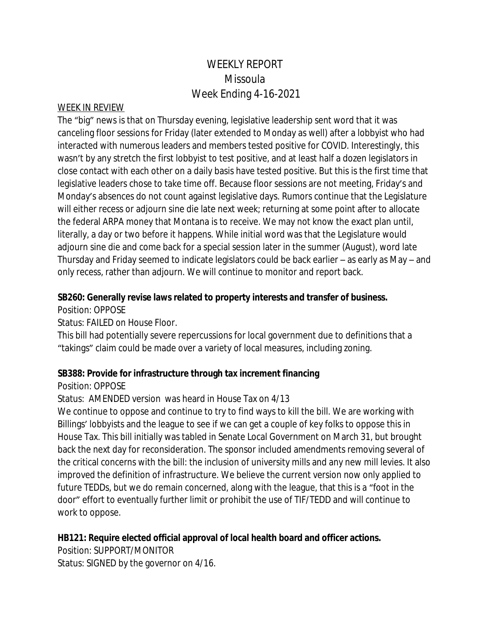# WEEKLY REPORT Missoula Week Ending 4-16-2021

#### WEEK IN REVIEW

The "big" news is that on Thursday evening, legislative leadership sent word that it was canceling floor sessions for Friday (later extended to Monday as well) after a lobbyist who had interacted with numerous leaders and members tested positive for COVID. Interestingly, this wasn't by any stretch the first lobbyist to test positive, and at least half a dozen legislators in close contact with each other on a daily basis have tested positive. But this is the first time that legislative leaders chose to take time off. Because floor sessions are not meeting, Friday's and Monday's absences do not count against legislative days. Rumors continue that the Legislature will either recess or adjourn sine die late next week; returning at some point after to allocate the federal ARPA money that Montana is to receive. We may not know the exact plan until, literally, a day or two before it happens. While initial word was that the Legislature would adjourn sine die and come back for a special session later in the summer (August), word late Thursday and Friday seemed to indicate legislators could be back earlier – as early as May – and only recess, rather than adjourn. We will continue to monitor and report back.

#### **SB260: Generally revise laws related to property interests and transfer of business.**

Position: OPPOSE

Status: FAILED on House Floor.

This bill had potentially severe repercussions for local government due to definitions that a "takings" claim could be made over a variety of local measures, including zoning.

#### **SB388: Provide for infrastructure through tax increment financing**

Position: OPPOSE

Status: AMENDED version was heard in House Tax on 4/13

We continue to oppose and continue to try to find ways to kill the bill. We are working with Billings' lobbyists and the league to see if we can get a couple of key folks to oppose this in House Tax. This bill initially was tabled in Senate Local Government on March 31, but brought back the next day for reconsideration. The sponsor included amendments removing several of the critical concerns with the bill: the inclusion of university mills and any new mill levies. It also improved the definition of infrastructure. We believe the current version now only applied to future TEDDs, but we do remain concerned, along with the league, that this is a "foot in the door" effort to eventually further limit or prohibit the use of TIF/TEDD and will continue to work to oppose.

### **HB121: Require elected official approval of local health board and officer actions.**

Position: SUPPORT/MONITOR Status: SIGNED by the governor on 4/16.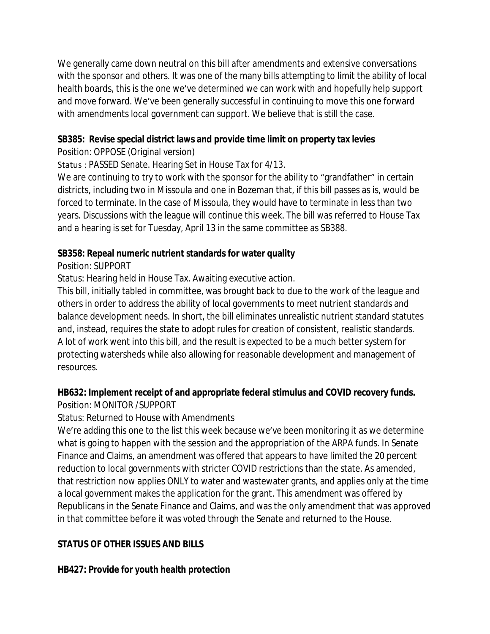We generally came down neutral on this bill after amendments and extensive conversations with the sponsor and others. It was one of the many bills attempting to limit the ability of local health boards, this is the one we've determined we can work with and hopefully help support and move forward. We've been generally successful in continuing to move this one forward with amendments local government can support. We believe that is still the case.

### **SB385: Revise special district laws and provide time limit on property tax levies**

Position: OPPOSE (Original version)

Status : PASSED Senate. Hearing Set in House Tax for 4/13.

We are continuing to try to work with the sponsor for the ability to "grandfather" in certain districts, including two in Missoula and one in Bozeman that, if this bill passes as is, would be forced to terminate. In the case of Missoula, they would have to terminate in less than two years. Discussions with the league will continue this week. The bill was referred to House Tax and a hearing is set for Tuesday, April 13 in the same committee as SB388.

### **SB358: Repeal numeric nutrient standards for water quality**

Position: SUPPORT

Status: Hearing held in House Tax. Awaiting executive action.

This bill, initially tabled in committee, was brought back to due to the work of the league and others in order to address the ability of local governments to meet nutrient standards and balance development needs. In short, the bill eliminates unrealistic nutrient standard statutes and, instead, requires the state to adopt rules for creation of consistent, realistic standards. A lot of work went into this bill, and the result is expected to be a much better system for protecting watersheds while also allowing for reasonable development and management of resources.

# **HB632: Implement receipt of and appropriate federal stimulus and COVID recovery funds.**

Position: MONITOR /SUPPORT

Status: Returned to House with Amendments

We're adding this one to the list this week because we've been monitoring it as we determine what is going to happen with the session and the appropriation of the ARPA funds. In Senate Finance and Claims, an amendment was offered that appears to have limited the 20 percent reduction to local governments with stricter COVID restrictions than the state. As amended, that restriction now applies ONLY to water and wastewater grants, and applies only at the time a local government makes the application for the grant. This amendment was offered by Republicans in the Senate Finance and Claims, and was the only amendment that was approved in that committee before it was voted through the Senate and returned to the House.

# **STATUS OF OTHER ISSUES AND BILLS**

### **HB427: Provide for youth health protection**